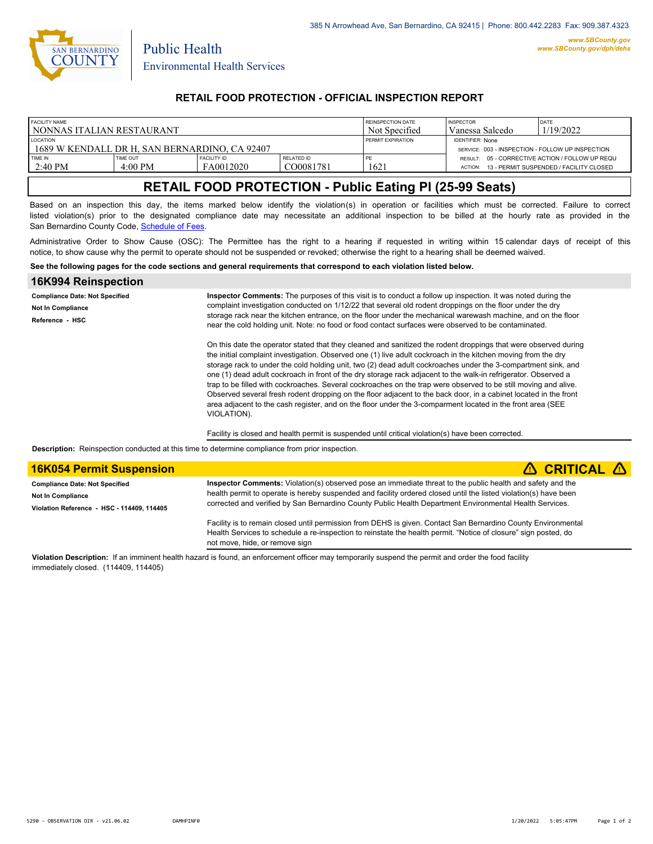

Public Health

# **RETAIL FOOD PROTECTION - OFFICIAL INSPECTION REPORT**

| FACILITY NAME                                                    |                 |                    |            | REINSPECTION DATE        | <b>INSPECTOR</b>                                                            | DATE                                    |
|------------------------------------------------------------------|-----------------|--------------------|------------|--------------------------|-----------------------------------------------------------------------------|-----------------------------------------|
| I NONNAS ITALIAN RESTAURANT                                      |                 |                    |            | Not Specified            | Vanessa Salcedo                                                             | 1/19/2022                               |
| <b>LOCATION</b><br>1689 W KENDALL DR H. SAN BERNARDINO. CA 92407 |                 |                    |            | <b>PERMIT EXPIRATION</b> | <b>IDENTIFIER: None</b><br>SERVICE: 003 - INSPECTION - FOLLOW UP INSPECTION |                                         |
| TIME IN                                                          | <b>TIME OUT</b> | <b>FACILITY ID</b> | RELATED ID | PE                       | RESULT: 05 - CORRECTIVE ACTION / FOLLOW UP REQU                             | 13 - PERMIT SUSPENDED / FACILITY CLOSED |
| $12:40 \text{ PM}$                                               | 4:00 PM         | FA0012020          | CO0081781  | 1621                     | ACTION:                                                                     |                                         |

# **RETAIL FOOD PROTECTION - Public Eating Pl (25-99 Seats)**

Based on an inspection this day, the items marked below identify the violation(s) in operation or facilities which must be corrected. Failure to correct listed violation(s) prior to the designated compliance date may necessitate an additional inspection to be billed at the hourly rate as provided in the San Bernardino County Code, Sc[hedule of Fees.](https://codelibrary.amlegal.com/codes/sanbernardino/latest/sanberncty_ca/0-0-0-122474#JD_16.0213B)

Administrative Order to Show Cause (OSC): The Permittee has the right to a hearing if requested in writing within 15 calendar days of receipt of this notice, to show cause why the permit to operate should not be suspended or revoked; otherwise the right to a hearing shall be deemed waived.

#### **See the following pages for the code sections and general requirements that correspond to each violation listed below.**

| 16K994 Reinspection                   |                                                                                                                                                                                                                                                                                                                                                                                                                                                                                                                                                                                                                                                                                                                                                                                                                                          |  |  |
|---------------------------------------|------------------------------------------------------------------------------------------------------------------------------------------------------------------------------------------------------------------------------------------------------------------------------------------------------------------------------------------------------------------------------------------------------------------------------------------------------------------------------------------------------------------------------------------------------------------------------------------------------------------------------------------------------------------------------------------------------------------------------------------------------------------------------------------------------------------------------------------|--|--|
| <b>Compliance Date: Not Specified</b> | Inspector Comments: The purposes of this visit is to conduct a follow up inspection. It was noted during the                                                                                                                                                                                                                                                                                                                                                                                                                                                                                                                                                                                                                                                                                                                             |  |  |
| Not In Compliance                     | complaint investigation conducted on 1/12/22 that several old rodent droppings on the floor under the dry                                                                                                                                                                                                                                                                                                                                                                                                                                                                                                                                                                                                                                                                                                                                |  |  |
| Reference - HSC                       | storage rack near the kitchen entrance, on the floor under the mechanical warewash machine, and on the floor<br>near the cold holding unit. Note: no food or food contact surfaces were observed to be contaminated.                                                                                                                                                                                                                                                                                                                                                                                                                                                                                                                                                                                                                     |  |  |
|                                       | On this date the operator stated that they cleaned and sanitized the rodent droppings that were observed during<br>the initial complaint investigation. Observed one (1) live adult cockroach in the kitchen moving from the dry<br>storage rack to under the cold holding unit, two (2) dead adult cockroaches under the 3-compartment sink, and<br>one (1) dead adult cockroach in front of the dry storage rack adjacent to the walk-in refrigerator. Observed a<br>trap to be filled with cockroaches. Several cockroaches on the trap were observed to be still moving and alive.<br>Observed several fresh rodent dropping on the floor adjacent to the back door, in a cabinet located in the front<br>area adjacent to the cash register, and on the floor under the 3-comparment located in the front area (SEE)<br>VIOLATION). |  |  |
|                                       | Facility is closed and health permit is suspended until critical violation(s) have been corrected.                                                                                                                                                                                                                                                                                                                                                                                                                                                                                                                                                                                                                                                                                                                                       |  |  |

**Description:** Reinspection conducted at this time to determine compliance from prior inspection.

| <b>16K054 Permit Suspension</b>            | $\triangle$ CRITICAL $\triangle$                                                                                                                                                                                                                                   |  |  |
|--------------------------------------------|--------------------------------------------------------------------------------------------------------------------------------------------------------------------------------------------------------------------------------------------------------------------|--|--|
| <b>Compliance Date: Not Specified</b>      | Inspector Comments: Violation(s) observed pose an immediate threat to the public health and safety and the                                                                                                                                                         |  |  |
| <b>Not In Compliance</b>                   | health permit to operate is hereby suspended and facility ordered closed until the listed violation(s) have been                                                                                                                                                   |  |  |
| Violation Reference - HSC - 114409, 114405 | corrected and verified by San Bernardino County Public Health Department Environmental Health Services.                                                                                                                                                            |  |  |
|                                            | Facility is to remain closed until permission from DEHS is given. Contact San Bernardino County Environmental<br>Health Services to schedule a re-inspection to reinstate the health permit. "Notice of closure" sign posted, do<br>not move, hide, or remove sign |  |  |

**Violation Description:** If an imminent health hazard is found, an enforcement officer may temporarily suspend the permit and order the food facility immediately closed. (114409, 114405)